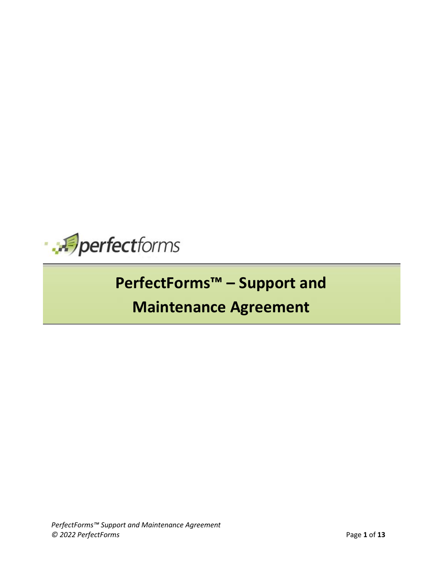

## **PerfectForms™ – Support and**

## **Maintenance Agreement**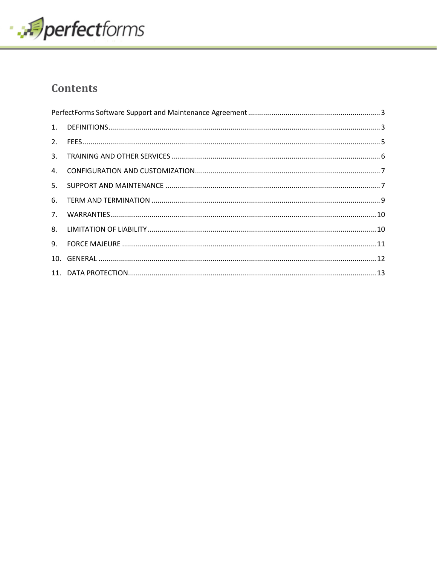

### **Contents**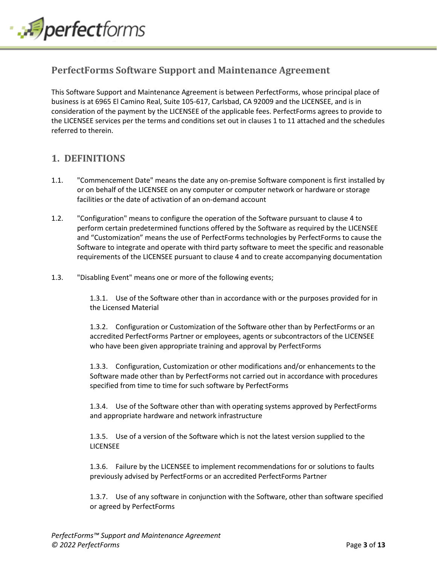

### <span id="page-2-0"></span>**PerfectForms Software Support and Maintenance Agreement**

This Software Support and Maintenance Agreement is between PerfectForms, whose principal place of business is at 6965 El Camino Real, Suite 105-617, Carlsbad, CA 92009 and the LICENSEE, and is in consideration of the payment by the LICENSEE of the applicable fees. PerfectForms agrees to provide to the LICENSEE services per the terms and conditions set out in clauses 1 to 11 attached and the schedules referred to therein.

### <span id="page-2-1"></span>**1. DEFINITIONS**

- 1.1. "Commencement Date" means the date any on-premise Software component is first installed by or on behalf of the LICENSEE on any computer or computer network or hardware or storage facilities or the date of activation of an on-demand account
- 1.2. "Configuration" means to configure the operation of the Software pursuant to clause 4 to perform certain predetermined functions offered by the Software as required by the LICENSEE and "Customization" means the use of PerfectForms technologies by PerfectForms to cause the Software to integrate and operate with third party software to meet the specific and reasonable requirements of the LICENSEE pursuant to clause 4 and to create accompanying documentation
- 1.3. "Disabling Event" means one or more of the following events;

1.3.1. Use of the Software other than in accordance with or the purposes provided for in the Licensed Material

1.3.2. Configuration or Customization of the Software other than by PerfectForms or an accredited PerfectForms Partner or employees, agents or subcontractors of the LICENSEE who have been given appropriate training and approval by PerfectForms

1.3.3. Configuration, Customization or other modifications and/or enhancements to the Software made other than by PerfectForms not carried out in accordance with procedures specified from time to time for such software by PerfectForms

1.3.4. Use of the Software other than with operating systems approved by PerfectForms and appropriate hardware and network infrastructure

1.3.5. Use of a version of the Software which is not the latest version supplied to the LICENSEE

1.3.6. Failure by the LICENSEE to implement recommendations for or solutions to faults previously advised by PerfectForms or an accredited PerfectForms Partner

1.3.7. Use of any software in conjunction with the Software, other than software specified or agreed by PerfectForms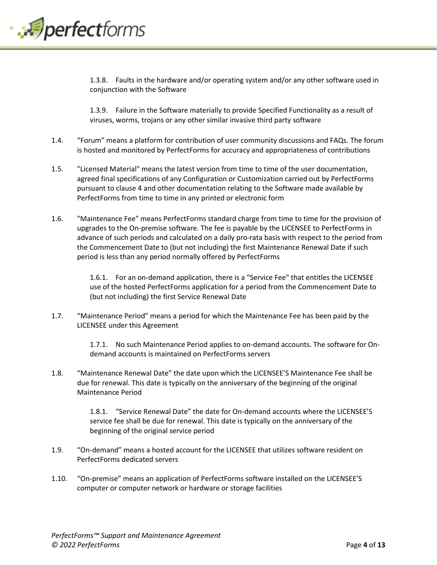

1.3.8. Faults in the hardware and/or operating system and/or any other software used in conjunction with the Software

1.3.9. Failure in the Software materially to provide Specified Functionality as a result of viruses, worms, trojans or any other similar invasive third party software

- 1.4. "Forum" means a platform for contribution of user community discussions and FAQs. The forum is hosted and monitored by PerfectForms for accuracy and appropriateness of contributions
- 1.5. "Licensed Material" means the latest version from time to time of the user documentation, agreed final specifications of any Configuration or Customization carried out by PerfectForms pursuant to clause 4 and other documentation relating to the Software made available by PerfectForms from time to time in any printed or electronic form
- 1.6. "Maintenance Fee" means PerfectForms standard charge from time to time for the provision of upgrades to the On-premise software. The fee is payable by the LICENSEE to PerfectForms in advance of such periods and calculated on a daily pro-rata basis with respect to the period from the Commencement Date to (but not including) the first Maintenance Renewal Date if such period is less than any period normally offered by PerfectForms

1.6.1. For an on-demand application, there is a "Service Fee" that entitles the LICENSEE use of the hosted PerfectForms application for a period from the Commencement Date to (but not including) the first Service Renewal Date

1.7. "Maintenance Period" means a period for which the Maintenance Fee has been paid by the LICENSEE under this Agreement

> 1.7.1. No such Maintenance Period applies to on-demand accounts. The software for Ondemand accounts is maintained on PerfectForms servers

1.8. "Maintenance Renewal Date" the date upon which the LICENSEE'S Maintenance Fee shall be due for renewal. This date is typically on the anniversary of the beginning of the original Maintenance Period

> 1.8.1. "Service Renewal Date" the date for On-demand accounts where the LICENSEE'S service fee shall be due for renewal. This date is typically on the anniversary of the beginning of the original service period

- 1.9. "On-demand" means a hosted account for the LICENSEE that utilizes software resident on PerfectForms dedicated servers
- 1.10. "On-premise" means an application of PerfectForms software installed on the LICENSEE'S computer or computer network or hardware or storage facilities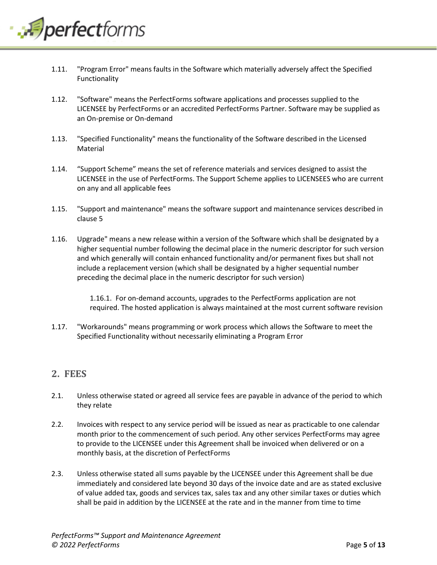

- 1.11. "Program Error" means faults in the Software which materially adversely affect the Specified Functionality
- 1.12. "Software" means the PerfectForms software applications and processes supplied to the LICENSEE by PerfectForms or an accredited PerfectForms Partner. Software may be supplied as an On-premise or On-demand
- 1.13. "Specified Functionality" means the functionality of the Software described in the Licensed Material
- 1.14. "Support Scheme" means the set of reference materials and services designed to assist the LICENSEE in the use of PerfectForms. The Support Scheme applies to LICENSEES who are current on any and all applicable fees
- 1.15. "Support and maintenance" means the software support and maintenance services described in clause 5
- 1.16. Upgrade" means a new release within a version of the Software which shall be designated by a higher sequential number following the decimal place in the numeric descriptor for such version and which generally will contain enhanced functionality and/or permanent fixes but shall not include a replacement version (which shall be designated by a higher sequential number preceding the decimal place in the numeric descriptor for such version)

1.16.1. For on-demand accounts, upgrades to the PerfectForms application are not required. The hosted application is always maintained at the most current software revision

1.17. "Workarounds" means programming or work process which allows the Software to meet the Specified Functionality without necessarily eliminating a Program Error

### <span id="page-4-0"></span>**2. FEES**

- 2.1. Unless otherwise stated or agreed all service fees are payable in advance of the period to which they relate
- 2.2. Invoices with respect to any service period will be issued as near as practicable to one calendar month prior to the commencement of such period. Any other services PerfectForms may agree to provide to the LICENSEE under this Agreement shall be invoiced when delivered or on a monthly basis, at the discretion of PerfectForms
- 2.3. Unless otherwise stated all sums payable by the LICENSEE under this Agreement shall be due immediately and considered late beyond 30 days of the invoice date and are as stated exclusive of value added tax, goods and services tax, sales tax and any other similar taxes or duties which shall be paid in addition by the LICENSEE at the rate and in the manner from time to time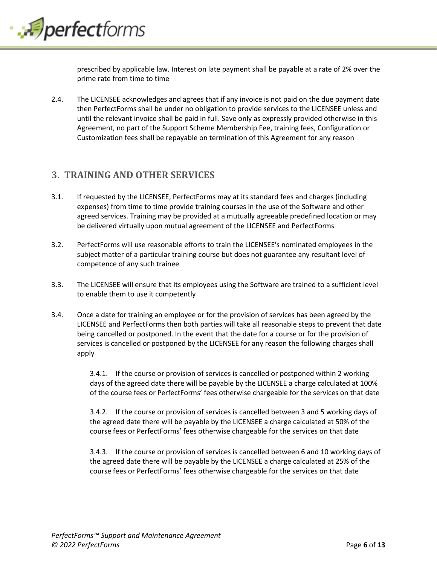

prescribed by applicable law. Interest on late payment shall be payable at a rate of 2% over the prime rate from time to time

2.4. The LICENSEE acknowledges and agrees that if any invoice is not paid on the due payment date then PerfectForms shall be under no obligation to provide services to the LICENSEE unless and until the relevant invoice shall be paid in full. Save only as expressly provided otherwise in this Agreement, no part of the Support Scheme Membership Fee, training fees, Configuration or Customization fees shall be repayable on termination of this Agreement for any reason

### <span id="page-5-0"></span>**3. TRAINING AND OTHER SERVICES**

- 3.1. If requested by the LICENSEE, PerfectForms may at its standard fees and charges (including expenses) from time to time provide training courses in the use of the Software and other agreed services. Training may be provided at a mutually agreeable predefined location or may be delivered virtually upon mutual agreement of the LICENSEE and PerfectForms
- 3.2. PerfectForms will use reasonable efforts to train the LICENSEE's nominated employees in the subject matter of a particular training course but does not guarantee any resultant level of competence of any such trainee
- 3.3. The LICENSEE will ensure that its employees using the Software are trained to a sufficient level to enable them to use it competently
- 3.4. Once a date for training an employee or for the provision of services has been agreed by the LICENSEE and PerfectForms then both parties will take all reasonable steps to prevent that date being cancelled or postponed. In the event that the date for a course or for the provision of services is cancelled or postponed by the LICENSEE for any reason the following charges shall apply

3.4.1. If the course or provision of services is cancelled or postponed within 2 working days of the agreed date there will be payable by the LICENSEE a charge calculated at 100% of the course fees or PerfectForms' fees otherwise chargeable for the services on that date

3.4.2. If the course or provision of services is cancelled between 3 and 5 working days of the agreed date there will be payable by the LICENSEE a charge calculated at 50% of the course fees or PerfectForms' fees otherwise chargeable for the services on that date

3.4.3. If the course or provision of services is cancelled between 6 and 10 working days of the agreed date there will be payable by the LICENSEE a charge calculated at 25% of the course fees or PerfectForms' fees otherwise chargeable for the services on that date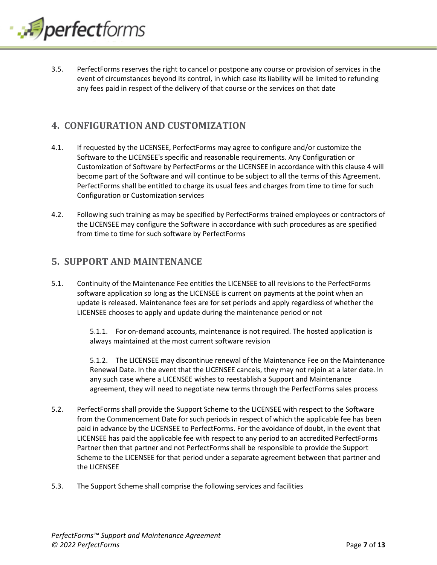

3.5. PerfectForms reserves the right to cancel or postpone any course or provision of services in the event of circumstances beyond its control, in which case its liability will be limited to refunding any fees paid in respect of the delivery of that course or the services on that date

### <span id="page-6-0"></span>**4. CONFIGURATION AND CUSTOMIZATION**

- 4.1. If requested by the LICENSEE, PerfectForms may agree to configure and/or customize the Software to the LICENSEE's specific and reasonable requirements. Any Configuration or Customization of Software by PerfectForms or the LICENSEE in accordance with this clause 4 will become part of the Software and will continue to be subject to all the terms of this Agreement. PerfectForms shall be entitled to charge its usual fees and charges from time to time for such Configuration or Customization services
- 4.2. Following such training as may be specified by PerfectForms trained employees or contractors of the LICENSEE may configure the Software in accordance with such procedures as are specified from time to time for such software by PerfectForms

### <span id="page-6-1"></span>**5. SUPPORT AND MAINTENANCE**

5.1. Continuity of the Maintenance Fee entitles the LICENSEE to all revisions to the PerfectForms software application so long as the LICENSEE is current on payments at the point when an update is released. Maintenance fees are for set periods and apply regardless of whether the LICENSEE chooses to apply and update during the maintenance period or not

> 5.1.1. For on-demand accounts, maintenance is not required. The hosted application is always maintained at the most current software revision

5.1.2. The LICENSEE may discontinue renewal of the Maintenance Fee on the Maintenance Renewal Date. In the event that the LICENSEE cancels, they may not rejoin at a later date. In any such case where a LICENSEE wishes to reestablish a Support and Maintenance agreement, they will need to negotiate new terms through the PerfectForms sales process

- 5.2. PerfectForms shall provide the Support Scheme to the LICENSEE with respect to the Software from the Commencement Date for such periods in respect of which the applicable fee has been paid in advance by the LICENSEE to PerfectForms. For the avoidance of doubt, in the event that LICENSEE has paid the applicable fee with respect to any period to an accredited PerfectForms Partner then that partner and not PerfectForms shall be responsible to provide the Support Scheme to the LICENSEE for that period under a separate agreement between that partner and the LICENSEE
- 5.3. The Support Scheme shall comprise the following services and facilities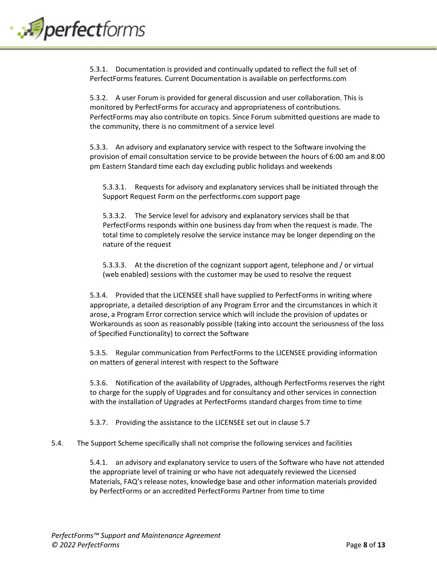# perfectforms.

5.3.1. Documentation is provided and continually updated to reflect the full set of PerfectForms features. Current Documentation is available on perfectforms.com

5.3.2. A user Forum is provided for general discussion and user collaboration. This is monitored by PerfectForms for accuracy and appropriateness of contributions. PerfectForms may also contribute on topics. Since Forum submitted questions are made to the community, there is no commitment of a service level

5.3.3. An advisory and explanatory service with respect to the Software involving the provision of email consultation service to be provide between the hours of 6:00 am and 8:00 pm Eastern Standard time each day excluding public holidays and weekends

5.3.3.1. Requests for advisory and explanatory services shall be initiated through the Support Request Form on the perfectforms.com support page

5.3.3.2. The Service level for advisory and explanatory services shall be that PerfectForms responds within one business day from when the request is made. The total time to completely resolve the service instance may be longer depending on the nature of the request

5.3.3.3. At the discretion of the cognizant support agent, telephone and / or virtual (web enabled) sessions with the customer may be used to resolve the request

5.3.4. Provided that the LICENSEE shall have supplied to PerfectForms in writing where appropriate, a detailed description of any Program Error and the circumstances in which it arose, a Program Error correction service which will include the provision of updates or Workarounds as soon as reasonably possible (taking into account the seriousness of the loss of Specified Functionality) to correct the Software

5.3.5. Regular communication from PerfectForms to the LICENSEE providing information on matters of general interest with respect to the Software

5.3.6. Notification of the availability of Upgrades, although PerfectForms reserves the right to charge for the supply of Upgrades and for consultancy and other services in connection with the installation of Upgrades at PerfectForms standard charges from time to time

5.3.7. Providing the assistance to the LICENSEE set out in clause 5.7

#### 5.4. The Support Scheme specifically shall not comprise the following services and facilities

5.4.1. an advisory and explanatory service to users of the Software who have not attended the appropriate level of training or who have not adequately reviewed the Licensed Materials, FAQ's release notes, knowledge base and other information materials provided by PerfectForms or an accredited PerfectForms Partner from time to time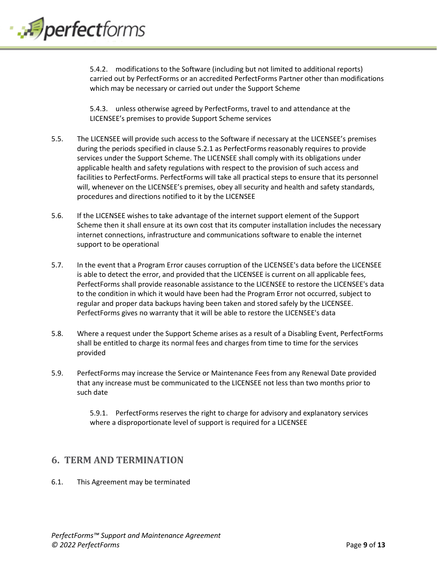

5.4.2. modifications to the Software (including but not limited to additional reports) carried out by PerfectForms or an accredited PerfectForms Partner other than modifications which may be necessary or carried out under the Support Scheme

5.4.3. unless otherwise agreed by PerfectForms, travel to and attendance at the LICENSEE's premises to provide Support Scheme services

- 5.5. The LICENSEE will provide such access to the Software if necessary at the LICENSEE's premises during the periods specified in clause 5.2.1 as PerfectForms reasonably requires to provide services under the Support Scheme. The LICENSEE shall comply with its obligations under applicable health and safety regulations with respect to the provision of such access and facilities to PerfectForms. PerfectForms will take all practical steps to ensure that its personnel will, whenever on the LICENSEE's premises, obey all security and health and safety standards, procedures and directions notified to it by the LICENSEE
- 5.6. If the LICENSEE wishes to take advantage of the internet support element of the Support Scheme then it shall ensure at its own cost that its computer installation includes the necessary internet connections, infrastructure and communications software to enable the internet support to be operational
- 5.7. In the event that a Program Error causes corruption of the LICENSEE's data before the LICENSEE is able to detect the error, and provided that the LICENSEE is current on all applicable fees, PerfectForms shall provide reasonable assistance to the LICENSEE to restore the LICENSEE's data to the condition in which it would have been had the Program Error not occurred, subject to regular and proper data backups having been taken and stored safely by the LICENSEE. PerfectForms gives no warranty that it will be able to restore the LICENSEE's data
- 5.8. Where a request under the Support Scheme arises as a result of a Disabling Event, PerfectForms shall be entitled to charge its normal fees and charges from time to time for the services provided
- 5.9. PerfectForms may increase the Service or Maintenance Fees from any Renewal Date provided that any increase must be communicated to the LICENSEE not less than two months prior to such date

5.9.1. PerfectForms reserves the right to charge for advisory and explanatory services where a disproportionate level of support is required for a LICENSEE

### <span id="page-8-0"></span>**6. TERM AND TERMINATION**

6.1. This Agreement may be terminated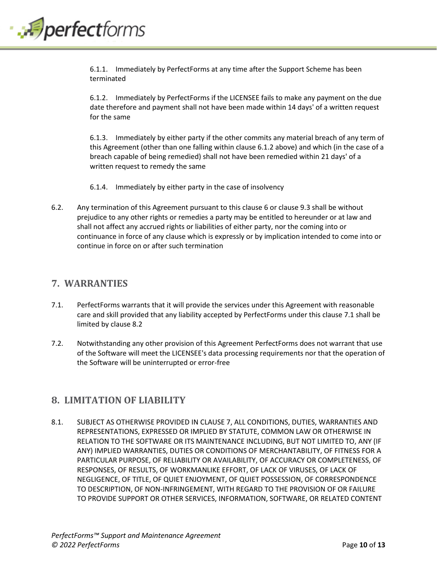

6.1.1. Immediately by PerfectForms at any time after the Support Scheme has been terminated

6.1.2. Immediately by PerfectForms if the LICENSEE fails to make any payment on the due date therefore and payment shall not have been made within 14 days' of a written request for the same

6.1.3. Immediately by either party if the other commits any material breach of any term of this Agreement (other than one falling within clause 6.1.2 above) and which (in the case of a breach capable of being remedied) shall not have been remedied within 21 days' of a written request to remedy the same

- 6.1.4. Immediately by either party in the case of insolvency
- 6.2. Any termination of this Agreement pursuant to this clause 6 or clause 9.3 shall be without prejudice to any other rights or remedies a party may be entitled to hereunder or at law and shall not affect any accrued rights or liabilities of either party, nor the coming into or continuance in force of any clause which is expressly or by implication intended to come into or continue in force on or after such termination

### <span id="page-9-0"></span>**7. WARRANTIES**

- 7.1. PerfectForms warrants that it will provide the services under this Agreement with reasonable care and skill provided that any liability accepted by PerfectForms under this clause 7.1 shall be limited by clause 8.2
- 7.2. Notwithstanding any other provision of this Agreement PerfectForms does not warrant that use of the Software will meet the LICENSEE's data processing requirements nor that the operation of the Software will be uninterrupted or error-free

### <span id="page-9-1"></span>**8. LIMITATION OF LIABILITY**

8.1. SUBJECT AS OTHERWISE PROVIDED IN CLAUSE 7, ALL CONDITIONS, DUTIES, WARRANTIES AND REPRESENTATIONS, EXPRESSED OR IMPLIED BY STATUTE, COMMON LAW OR OTHERWISE IN RELATION TO THE SOFTWARE OR ITS MAINTENANCE INCLUDING, BUT NOT LIMITED TO, ANY (IF ANY) IMPLIED WARRANTIES, DUTIES OR CONDITIONS OF MERCHANTABILITY, OF FITNESS FOR A PARTICULAR PURPOSE, OF RELIABILITY OR AVAILABILITY, OF ACCURACY OR COMPLETENESS, OF RESPONSES, OF RESULTS, OF WORKMANLIKE EFFORT, OF LACK OF VIRUSES, OF LACK OF NEGLIGENCE, OF TITLE, OF QUIET ENJOYMENT, OF QUIET POSSESSION, OF CORRESPONDENCE TO DESCRIPTION, OF NON-INFRINGEMENT, WITH REGARD TO THE PROVISION OF OR FAILURE TO PROVIDE SUPPORT OR OTHER SERVICES, INFORMATION, SOFTWARE, OR RELATED CONTENT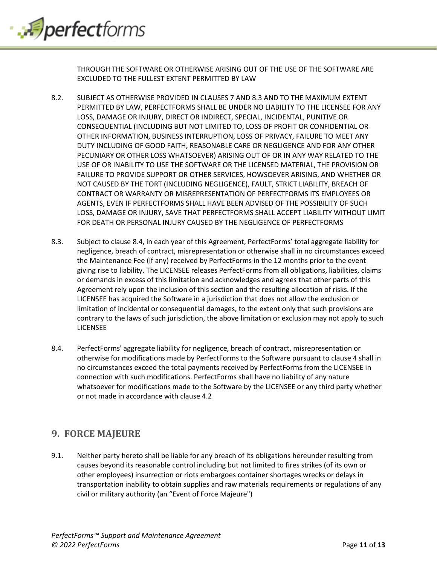

THROUGH THE SOFTWARE OR OTHERWISE ARISING OUT OF THE USE OF THE SOFTWARE ARE EXCLUDED TO THE FULLEST EXTENT PERMITTED BY LAW

- 8.2. SUBJECT AS OTHERWISE PROVIDED IN CLAUSES 7 AND 8.3 AND TO THE MAXIMUM EXTENT PERMITTED BY LAW, PERFECTFORMS SHALL BE UNDER NO LIABILITY TO THE LICENSEE FOR ANY LOSS, DAMAGE OR INJURY, DIRECT OR INDIRECT, SPECIAL, INCIDENTAL, PUNITIVE OR CONSEQUENTIAL (INCLUDING BUT NOT LIMITED TO, LOSS OF PROFIT OR CONFIDENTIAL OR OTHER INFORMATION, BUSINESS INTERRUPTION, LOSS OF PRIVACY, FAILURE TO MEET ANY DUTY INCLUDING OF GOOD FAITH, REASONABLE CARE OR NEGLIGENCE AND FOR ANY OTHER PECUNIARY OR OTHER LOSS WHATSOEVER) ARISING OUT OF OR IN ANY WAY RELATED TO THE USE OF OR INABILITY TO USE THE SOFTWARE OR THE LICENSED MATERIAL, THE PROVISION OR FAILURE TO PROVIDE SUPPORT OR OTHER SERVICES, HOWSOEVER ARISING, AND WHETHER OR NOT CAUSED BY THE TORT (INCLUDING NEGLIGENCE), FAULT, STRICT LIABILITY, BREACH OF CONTRACT OR WARRANTY OR MISREPRESENTATION OF PERFECTFORMS ITS EMPLOYEES OR AGENTS, EVEN IF PERFECTFORMS SHALL HAVE BEEN ADVISED OF THE POSSIBILITY OF SUCH LOSS, DAMAGE OR INJURY, SAVE THAT PERFECTFORMS SHALL ACCEPT LIABILITY WITHOUT LIMIT FOR DEATH OR PERSONAL INJURY CAUSED BY THE NEGLIGENCE OF PERFECTFORMS
- 8.3. Subject to clause 8.4, in each year of this Agreement, PerfectForms' total aggregate liability for negligence, breach of contract, misrepresentation or otherwise shall in no circumstances exceed the Maintenance Fee (if any) received by PerfectForms in the 12 months prior to the event giving rise to liability. The LICENSEE releases PerfectForms from all obligations, liabilities, claims or demands in excess of this limitation and acknowledges and agrees that other parts of this Agreement rely upon the inclusion of this section and the resulting allocation of risks. If the LICENSEE has acquired the Software in a jurisdiction that does not allow the exclusion or limitation of incidental or consequential damages, to the extent only that such provisions are contrary to the laws of such jurisdiction, the above limitation or exclusion may not apply to such LICENSEE
- 8.4. PerfectForms' aggregate liability for negligence, breach of contract, misrepresentation or otherwise for modifications made by PerfectForms to the Software pursuant to clause 4 shall in no circumstances exceed the total payments received by PerfectForms from the LICENSEE in connection with such modifications. PerfectForms shall have no liability of any nature whatsoever for modifications made to the Software by the LICENSEE or any third party whether or not made in accordance with clause 4.2

### <span id="page-10-0"></span>**9. FORCE MAJEURE**

9.1. Neither party hereto shall be liable for any breach of its obligations hereunder resulting from causes beyond its reasonable control including but not limited to fires strikes (of its own or other employees) insurrection or riots embargoes container shortages wrecks or delays in transportation inability to obtain supplies and raw materials requirements or regulations of any civil or military authority (an "Event of Force Majeure")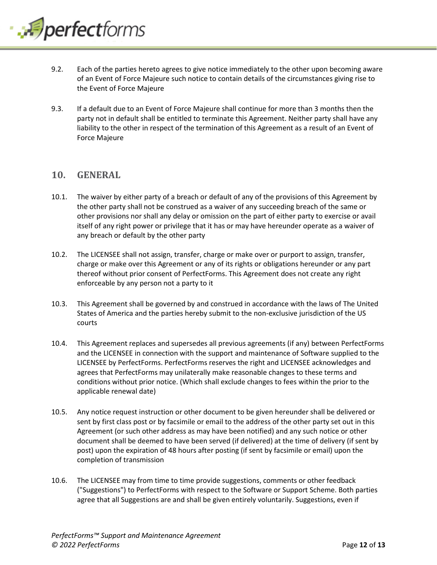

- 9.2. Each of the parties hereto agrees to give notice immediately to the other upon becoming aware of an Event of Force Majeure such notice to contain details of the circumstances giving rise to the Event of Force Majeure
- 9.3. If a default due to an Event of Force Majeure shall continue for more than 3 months then the party not in default shall be entitled to terminate this Agreement. Neither party shall have any liability to the other in respect of the termination of this Agreement as a result of an Event of Force Majeure

### <span id="page-11-0"></span>**10. GENERAL**

- 10.1. The waiver by either party of a breach or default of any of the provisions of this Agreement by the other party shall not be construed as a waiver of any succeeding breach of the same or other provisions nor shall any delay or omission on the part of either party to exercise or avail itself of any right power or privilege that it has or may have hereunder operate as a waiver of any breach or default by the other party
- 10.2. The LICENSEE shall not assign, transfer, charge or make over or purport to assign, transfer, charge or make over this Agreement or any of its rights or obligations hereunder or any part thereof without prior consent of PerfectForms. This Agreement does not create any right enforceable by any person not a party to it
- 10.3. This Agreement shall be governed by and construed in accordance with the laws of The United States of America and the parties hereby submit to the non-exclusive jurisdiction of the US courts
- 10.4. This Agreement replaces and supersedes all previous agreements (if any) between PerfectForms and the LICENSEE in connection with the support and maintenance of Software supplied to the LICENSEE by PerfectForms. PerfectForms reserves the right and LICENSEE acknowledges and agrees that PerfectForms may unilaterally make reasonable changes to these terms and conditions without prior notice. (Which shall exclude changes to fees within the prior to the applicable renewal date)
- 10.5. Any notice request instruction or other document to be given hereunder shall be delivered or sent by first class post or by facsimile or email to the address of the other party set out in this Agreement (or such other address as may have been notified) and any such notice or other document shall be deemed to have been served (if delivered) at the time of delivery (if sent by post) upon the expiration of 48 hours after posting (if sent by facsimile or email) upon the completion of transmission
- 10.6. The LICENSEE may from time to time provide suggestions, comments or other feedback ("Suggestions") to PerfectForms with respect to the Software or Support Scheme. Both parties agree that all Suggestions are and shall be given entirely voluntarily. Suggestions, even if